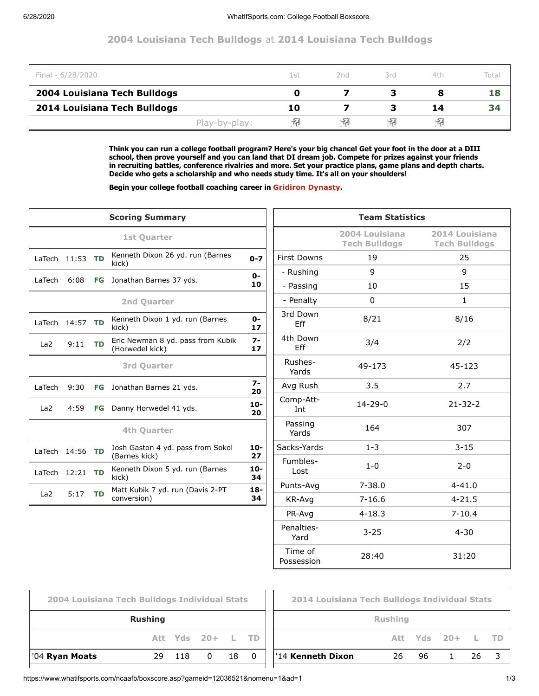## **2004 Louisiana Tech Bulldogs** at **2014 Louisiana Tech Bulldogs**

| Final - 6/28/2020            |               | 1 st | 2nd  | 3rd | 4th | Total |
|------------------------------|---------------|------|------|-----|-----|-------|
| 2004 Louisiana Tech Bulldogs |               |      |      |     |     | 18    |
| 2014 Louisiana Tech Bulldogs |               | 10   |      |     | 14  | 34    |
|                              | Play-by-play: | ÷a   | -देन | ÷a  | 栩   |       |

**Think you can run a college football program? Here's your big chance! Get your foot in the door at a DIII school, then prove yourself and you can land that DI dream job. Compete for prizes against your friends in recruiting battles, conference rivalries and more. Set your practice plans, game plans and depth charts. Decide who gets a scholarship and who needs study time. It's all on your shoulders!**

**Begin your college football coaching career in [Gridiron Dynasty](https://www.whatifsports.com/gd/).**

|                 |                   |           | <b>Scoring Summary</b>                                    |                                                                                                                                                                                                                                                                                                                                                                                                                                                                                                                                                                                                                                                                                                                                                                                                                                 | <b>Team Statistics</b> |  |  |  |  |
|-----------------|-------------------|-----------|-----------------------------------------------------------|---------------------------------------------------------------------------------------------------------------------------------------------------------------------------------------------------------------------------------------------------------------------------------------------------------------------------------------------------------------------------------------------------------------------------------------------------------------------------------------------------------------------------------------------------------------------------------------------------------------------------------------------------------------------------------------------------------------------------------------------------------------------------------------------------------------------------------|------------------------|--|--|--|--|
|                 |                   |           | 1st Quarter                                               | 2004 Louisiana<br>2014 Louisiana<br><b>Tech Bulldogs</b><br><b>Tech Bulldogs</b><br><b>First Downs</b><br>19<br>25<br>$0 - 7$<br>9<br>9<br>- Rushing<br>$0 -$<br>10<br>15<br>10<br>- Passing<br>$\Omega$<br>$\mathbf{1}$<br>- Penalty<br>3rd Down<br>8/21<br>8/16<br>$0 -$<br>Eff<br>17<br>4th Down<br>$7-$<br>3/4<br>2/2<br>Eff<br>17<br>Rushes-<br>49-173<br>45-123<br>Yards<br>$7-$<br>3.5<br>2.7<br>Avg Rush<br>20<br>Comp-Att-<br>$14 - 29 - 0$<br>$21 - 32 - 2$<br>$10-$<br>Int<br>20<br>Passing<br>164<br>307<br>Yards<br>$1 - 3$<br>$3 - 15$<br>Sacks-Yards<br>$10 -$<br>27<br>Fumbles-<br>$1 - 0$<br>$2 - 0$<br>$10-$<br>Lost<br>34<br>$4 - 41.0$<br>$7 - 38.0$<br>Punts-Ava<br>$18 -$<br>34<br>$4 - 21.5$<br>KR-Avg<br>$7 - 16.6$<br>$7 - 10.4$<br>PR-Avg<br>$4 - 18.3$<br>Penalties-<br>$3 - 25$<br>$4 - 30$<br>Yard |                        |  |  |  |  |
|                 | LaTech $11:53$ TD |           | Kenneth Dixon 26 yd. run (Barnes<br>kick)                 |                                                                                                                                                                                                                                                                                                                                                                                                                                                                                                                                                                                                                                                                                                                                                                                                                                 |                        |  |  |  |  |
|                 |                   |           |                                                           |                                                                                                                                                                                                                                                                                                                                                                                                                                                                                                                                                                                                                                                                                                                                                                                                                                 |                        |  |  |  |  |
| LaTech          | 6:08              | FG        | Jonathan Barnes 37 yds.                                   |                                                                                                                                                                                                                                                                                                                                                                                                                                                                                                                                                                                                                                                                                                                                                                                                                                 |                        |  |  |  |  |
|                 |                   |           | 2nd Quarter                                               |                                                                                                                                                                                                                                                                                                                                                                                                                                                                                                                                                                                                                                                                                                                                                                                                                                 |                        |  |  |  |  |
|                 | LaTech $14:57$ TD |           | Kenneth Dixon 1 yd. run (Barnes<br>kick)                  |                                                                                                                                                                                                                                                                                                                                                                                                                                                                                                                                                                                                                                                                                                                                                                                                                                 |                        |  |  |  |  |
| La <sub>2</sub> | 9:11              | <b>TD</b> | Eric Newman 8 yd. pass from Kubik<br>(Horwedel kick)      |                                                                                                                                                                                                                                                                                                                                                                                                                                                                                                                                                                                                                                                                                                                                                                                                                                 |                        |  |  |  |  |
|                 |                   |           | <b>3rd Quarter</b>                                        |                                                                                                                                                                                                                                                                                                                                                                                                                                                                                                                                                                                                                                                                                                                                                                                                                                 |                        |  |  |  |  |
| LaTech          | 9:30              | FG        | Jonathan Barnes 21 yds.                                   |                                                                                                                                                                                                                                                                                                                                                                                                                                                                                                                                                                                                                                                                                                                                                                                                                                 |                        |  |  |  |  |
| La <sub>2</sub> | 4:59              | FG        | Danny Horwedel 41 yds.                                    |                                                                                                                                                                                                                                                                                                                                                                                                                                                                                                                                                                                                                                                                                                                                                                                                                                 |                        |  |  |  |  |
|                 |                   |           | 4th Quarter                                               |                                                                                                                                                                                                                                                                                                                                                                                                                                                                                                                                                                                                                                                                                                                                                                                                                                 |                        |  |  |  |  |
|                 | LaTech 14:56 TD   |           | Josh Gaston 4 yd. pass from Sokol                         |                                                                                                                                                                                                                                                                                                                                                                                                                                                                                                                                                                                                                                                                                                                                                                                                                                 |                        |  |  |  |  |
|                 | LaTech $12:21$ TD |           | (Barnes kick)<br>Kenneth Dixon 5 yd. run (Barnes<br>kick) |                                                                                                                                                                                                                                                                                                                                                                                                                                                                                                                                                                                                                                                                                                                                                                                                                                 |                        |  |  |  |  |
|                 |                   |           | Matt Kubik 7 yd. run (Davis 2-PT                          |                                                                                                                                                                                                                                                                                                                                                                                                                                                                                                                                                                                                                                                                                                                                                                                                                                 |                        |  |  |  |  |
| La <sub>2</sub> | 5:17 TD           |           | conversion)                                               |                                                                                                                                                                                                                                                                                                                                                                                                                                                                                                                                                                                                                                                                                                                                                                                                                                 |                        |  |  |  |  |
|                 |                   |           |                                                           |                                                                                                                                                                                                                                                                                                                                                                                                                                                                                                                                                                                                                                                                                                                                                                                                                                 |                        |  |  |  |  |
|                 |                   |           |                                                           |                                                                                                                                                                                                                                                                                                                                                                                                                                                                                                                                                                                                                                                                                                                                                                                                                                 |                        |  |  |  |  |

Time of

⊢

| 2004 Louisiana Tech Bulldogs Individual Stats |                |          |                  |     |              |
|-----------------------------------------------|----------------|----------|------------------|-----|--------------|
|                                               | <b>Rushing</b> |          |                  |     |              |
|                                               |                |          | Att Yds 20+ L TD |     |              |
| '04 <b>Ryan Moats</b>                         |                | 29 118 0 |                  | 18. | <sup>0</sup> |
|                                               |                |          |                  |     |              |

| 2014 Louisiana Tech Bulldogs Individual Stats |    |     |                  |    |  |  |  |  |  |  |
|-----------------------------------------------|----|-----|------------------|----|--|--|--|--|--|--|
| <b>Rushing</b>                                |    |     |                  |    |  |  |  |  |  |  |
|                                               |    |     | Att Yds 20+ L TD |    |  |  |  |  |  |  |
| '14 Kenneth Dixon                             | 26 | 96. | $\mathbf{1}$     | 26 |  |  |  |  |  |  |
|                                               |    |     |                  |    |  |  |  |  |  |  |

Possession 28:40 31:20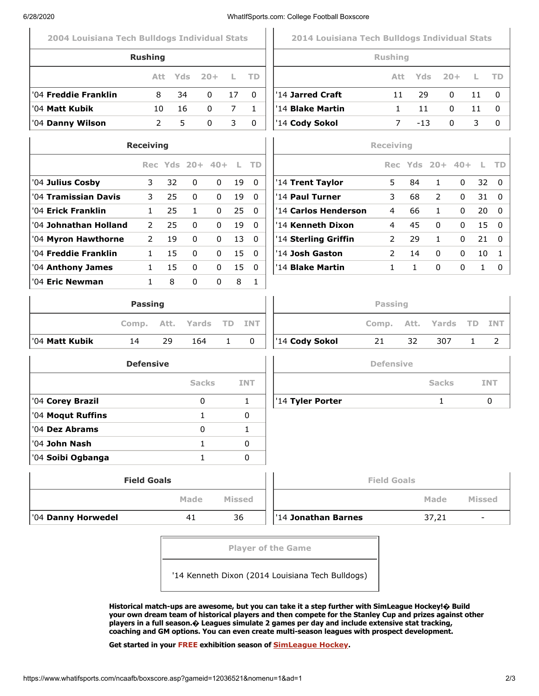| 6/28/2020                                     |                         |                 |              |              |               |              | WhatIfSports.com: College Football Boxscore   |                         |              |                 |        |                          |             |
|-----------------------------------------------|-------------------------|-----------------|--------------|--------------|---------------|--------------|-----------------------------------------------|-------------------------|--------------|-----------------|--------|--------------------------|-------------|
| 2004 Louisiana Tech Bulldogs Individual Stats |                         |                 |              |              |               |              | 2014 Louisiana Tech Bulldogs Individual Stats |                         |              |                 |        |                          |             |
|                                               | <b>Rushing</b>          |                 |              |              |               |              |                                               | <b>Rushing</b>          |              |                 |        |                          |             |
|                                               |                         | Att.            | Yds          | $20 +$       | L             | TD           |                                               | Att.                    | Yds          |                 | $20 +$ | L                        | <b>TD</b>   |
| '04 Freddie Franklin                          |                         | 8               | 34           | $\mathbf{0}$ | 17            | $\Omega$     | '14 Jarred Craft                              | 11                      | 29           |                 | 0      | 11                       | 0           |
| '04 Matt Kubik                                |                         | 10              | 16           | 0            | 7             | $\mathbf{1}$ | '14 Blake Martin                              | 1                       | 11           |                 | 0      | 11                       | 0           |
| '04 Danny Wilson                              |                         | $\overline{2}$  | 5            | $\Omega$     | 3             | $\Omega$     | '14 Cody Sokol                                | 7                       | $-13$        |                 | 0      | 3                        | 0           |
|                                               | <b>Receiving</b>        |                 |              |              |               |              |                                               | <b>Receiving</b>        |              |                 |        |                          |             |
|                                               |                         | Rec Yds 20+ 40+ |              |              | L.            | <b>TD</b>    |                                               |                         |              | Rec Yds 20+ 40+ |        | L                        | <b>TD</b>   |
| '04 Julius Cosby                              | 3                       | 32              | $\mathbf{0}$ | 0            | 19            | $\Omega$     | '14 Trent Taylor                              | 5                       | 84           | $\mathbf{1}$    | 0      | 32                       | $\mathbf 0$ |
| '04 Tramissian Davis                          | $\mathbf{3}$            | 25              | $\mathbf{0}$ | 0            | 19            | 0            | '14 Paul Turner                               | 3                       | 68           | 2               | 0      | 31                       |             |
| '04 Erick Franklin                            | $\mathbf{1}$            | 25              | $\mathbf{1}$ | 0            | 25            | 0            | '14 Carlos Henderson                          | 4                       | 66           | $\mathbf{1}$    | 0      | 20                       |             |
| '04 Johnathan Holland                         | 2                       | 25              | $\mathbf{0}$ | 0            | 19            | 0            | '14 Kenneth Dixon                             | 4                       | 45           | $\mathbf{0}$    | 0      | 15                       | $\mathbf 0$ |
| '04 Myron Hawthorne                           | $\overline{2}$          | 19              | $\mathbf{0}$ | 0            | 13            | $\Omega$     | '14 Sterling Griffin                          | 2                       | 29           | $\mathbf{1}$    | 0      | 21                       |             |
| '04 Freddie Franklin                          | $\mathbf{1}$            | 15              | 0            | 0            | 15            | 0            | '14 Josh Gaston                               | $\overline{2}$          | 14           | 0               | 0      | 10                       |             |
| '04 Anthony James                             | $\mathbf{1}$            | 15              | 0            | 0            | 15            | 0            | '14 <b>Blake Martin</b>                       | $\mathbf{1}$            | $\mathbf{1}$ | 0               | 0      | $\mathbf{1}$             |             |
|                                               | <b>Passing</b><br>Comp. | Att.            | Yards        |              | <b>TD</b>     | <b>INT</b>   |                                               | <b>Passing</b><br>Comp. | Att.         | Yards           |        | <b>TD</b>                | <b>INT</b>  |
| '04 Matt Kubik                                | 14                      | 29              | 164          |              | $\mathbf{1}$  | 0            | '14 Cody Sokol                                | 21                      | 32           | 307             |        | 1                        | 2           |
|                                               | <b>Defensive</b>        |                 |              |              |               |              |                                               | <b>Defensive</b>        |              |                 |        |                          |             |
|                                               |                         |                 | <b>Sacks</b> |              |               | <b>INT</b>   |                                               |                         |              | <b>Sacks</b>    |        |                          | <b>INT</b>  |
| '04 Corey Brazil                              |                         |                 | 0            |              |               | $\mathbf{1}$ | '14 Tyler Porter                              |                         |              | $\mathbf{1}$    |        |                          | 0           |
| '04 Moqut Ruffins                             |                         |                 | 1            |              |               | 0            |                                               |                         |              |                 |        |                          |             |
| '04 Dez Abrams                                |                         |                 | 0            |              |               | $\mathbf{1}$ |                                               |                         |              |                 |        |                          |             |
| '04 John Nash                                 |                         |                 | $\mathbf{1}$ |              |               | 0            |                                               |                         |              |                 |        |                          |             |
| '04 Soibi Ogbanga                             |                         |                 |              | $\mathbf{1}$ |               | 0            |                                               |                         |              |                 |        |                          |             |
|                                               | <b>Field Goals</b>      |                 |              |              |               |              |                                               | <b>Field Goals</b>      |              |                 |        |                          |             |
|                                               |                         |                 | Made         |              | <b>Missed</b> |              |                                               |                         |              | Made            |        | <b>Missed</b>            |             |
| '04 Danny Horwedel                            |                         |                 | 41           |              | 36            |              | '14 Jonathan Barnes                           |                         |              | 37,21           |        | $\overline{\phantom{a}}$ |             |
|                                               |                         |                 |              |              |               |              | <b>Player of the Game</b>                     |                         |              |                 |        |                          |             |
|                                               |                         |                 |              |              |               |              |                                               |                         |              |                 |        |                          |             |
|                                               |                         |                 |              |              |               |              |                                               |                         |              |                 |        |                          |             |

'14 Kenneth Dixon (2014 Louisiana Tech Bulldogs)

**Historical match-ups are awesome, but you can take it a step further with SimLeague Hockey!� Build your own dream team of historical players and then compete for the Stanley Cup and prizes against other players in a full season.� Leagues simulate 2 games per day and include extensive stat tracking, coaching and GM options. You can even create multi-season leagues with prospect development.**

**Get started in your FREE exhibition season of [SimLeague Hockey](https://www.whatifsports.com/nhl-l/).**